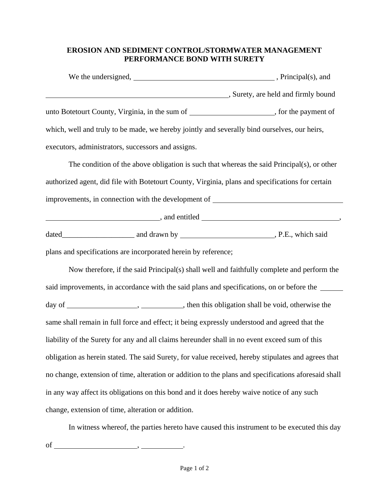## **EROSION AND SEDIMENT CONTROL/STORMWATER MANAGEMENT PERFORMANCE BOND WITH SURETY**

| We the undersigned,                                                                          | , Principal(s), and               |  |
|----------------------------------------------------------------------------------------------|-----------------------------------|--|
|                                                                                              | Surety, are held and firmly bound |  |
| unto Botetourt County, Virginia, in the sum of the set of the payment of                     |                                   |  |
| which, well and truly to be made, we hereby jointly and severally bind ourselves, our heirs, |                                   |  |
| executors, administrators, successors and assigns.                                           |                                   |  |

The condition of the above obligation is such that whereas the said Principal(s), or other authorized agent, did file with Botetourt County, Virginia, plans and specifications for certain improvements*,* in connection with the development of

example and entitled support of the same control of the same control of the same control of the same control of the same control of the same control of the same control of the same control of the same control of the same c

dated\_\_\_\_\_\_\_\_\_\_\_\_\_\_\_\_\_\_\_ and drawn by , P.E., which said

plans and specifications are incorporated herein by reference;

Now therefore, if the said Principal(s) shall well and faithfully complete and perform the said improvements, in accordance with the said plans and specifications, on or before the day of , , then this obligation shall be void, otherwise the same shall remain in full force and effect; it being expressly understood and agreed that the liability of the Surety for any and all claims hereunder shall in no event exceed sum of this obligation as herein stated. The said Surety, for value received, hereby stipulates and agrees that no change, extension of time, alteration or addition to the plans and specifications aforesaid shall in any way affect its obligations on this bond and it does hereby waive notice of any such change, extension of time, alteration or addition.

In witness whereof, the parties hereto have caused this instrument to be executed this day